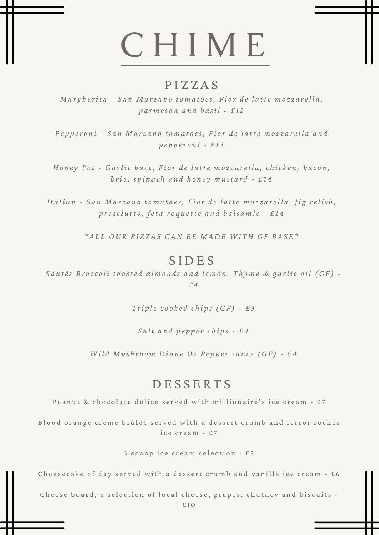#### P I Z Z A S

Margherita - San Marzano tomatoes, Fior de latte mozzarella, *p a r m es a n a n d b a si l - £ 1 2*

Pepperoni - San Marzano tomatoes, Fior de latte mozzarella and *p e p p er o n i - £ 1 3*

Honey Pot - Garlic base, Fior de latte mozzarella, chicken, bacon, brie, spinach and honey mustard - £14

Italian - San Marzano tomatoes, Fior de latte mozzarella, fig relish, prosciutto, feta roquette and balsamic - £14

\*ALL OUR PIZZAS CAN BE MADE WITH GF BASE\*

#### **SIDES**

Sautés Broccoli toasted almonds and lemon, Thyme & garlic oil (GF) -*£ 4*

*T ri p le c o o k e d c h i p s (GF ) - £ 3*

*S a l t a n d p e p p er c h i p s - £ 4*

Wild Mushroom Diane Or Pepper sauce (GF) - £4

### DE S S E R T S

Peanut & chocolate delice served with millionaire's ice cream - £7

Blood orange creme brûlée served with a dessert crumb and ferror rocher ice cream  $-57$ 

3 scoop ice cream selection - £5

Cheesecake of day served with a dessert crumb and vanilla ice cream - £6

Cheese board, a selection of local cheese, grapes, chutney and biscuits -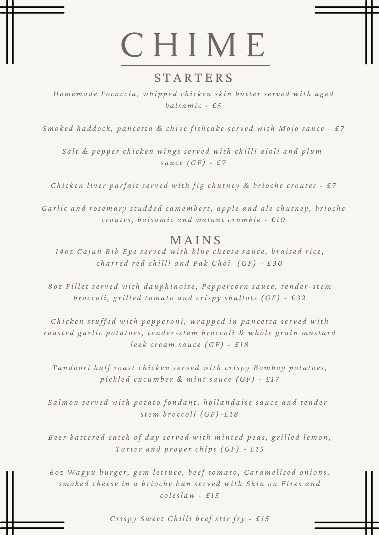### **STARTERS**

Homemade Focaccia, whipped chicken skin butter served with aged *b a ls a m ic - £ 5*

Smoked haddock, pancetta & chive fishcake served with Mojo sauce - £7

Salt & pepper chicken wings served with chilli aioli and plum *s a u ce (GF ) - £ 7*

Chicken liver parfait served with fig chutney & brioche croutes - £7

Garlic and rosemary studded camembert, apple and ale chutney, brioche croutes, balsamic and walnut crumble - £10

#### **MAINS**

1402 Cajun Rib Eye served with blue cheese sauce, braised rice, charred red chilli and Pak Choi (GF) - £30

802 Fillet served with dauphinoise, Peppercorn sauce, tender-stem broccoli, grilled tomato and crispy shallots  $(GF)$  - £32

Chicken stuffed with pepperoni, wrapped in pancetta served with roasted garlic potatoes, tender-stem broccoli & whole grain mustard *lee k cre a m s a u ce (GF ) - £ 1 8*

Tandoori half roast chicken served with crispy Bombay potatoes, pickled cucumber & mint sauce (GF) - £17

Salmon served with potato fondant, hollandaise sauce and tender*ste m b r o cc o l i (GF )- £ 1 8*

Beer battered catch of day served with minted peas, grilled lemon, *T a rter a n d p r o p er c h i p s (GF ) - £ 1 5*

602 Wagyu burger, gem lettuce, beef tomato, Caramelised onions, smoked cheese in a brioche bun served with Skin on Fires and *c o lesl aw - £ 1 5*

*C ris p y Sweet C h i l l i b eef st ir fr y - £ 1 5*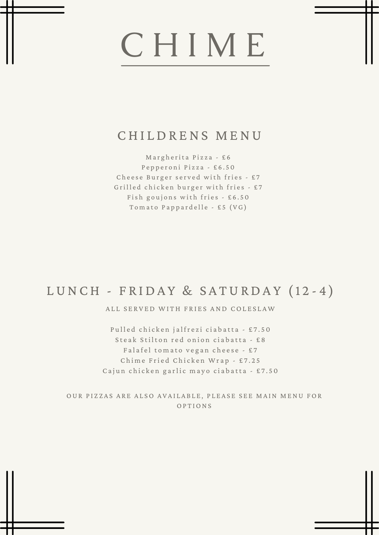### CHILDRENS MENU

Margherita Pizza - £6 Pepperoni Pizza - £6.50 Cheese Burger served with fries - £7 Grilled chicken burger with fries - £7 Fish goujons with fries  $-6.50$ Tomato Pappardelle - £5 (VG)

### LUNCH - FRIDAY & SATURDAY (12-4)

ALL SERVED WITH FRIES AND COLESLAW

Pulled chicken jalfrezi ciabatta - £7.50 Steak Stilton red onion ciabatta - £8 Falafel tomato vegan cheese - £7 Chime Fried Chicken Wrap - £7.25 Cajun chicken garlic mayo ciabatta - £7.50

OUR PIZZAS ARE ALSO AVAILABLE, PLEASE SEE MAIN MENU FOR **OPTIONS**